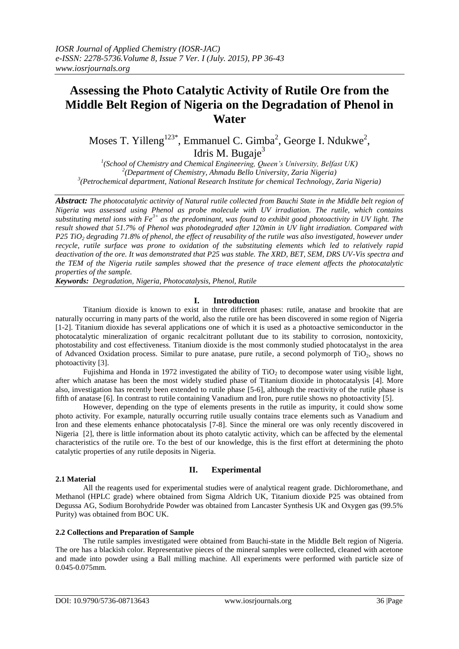# **Assessing the Photo Catalytic Activity of Rutile Ore from the Middle Belt Region of Nigeria on the Degradation of Phenol in Water**

Moses T. Yilleng<sup>123\*</sup>, Emmanuel C. Gimba<sup>2</sup>, George I. Ndukwe<sup>2</sup>, Idris M. Bugaje $3$ 

*1 (School of Chemistry and Chemical Engineering, Queen's University, Belfast UK) 2 (Department of Chemistry, Ahmadu Bello University, Zaria Nigeria) 3 (Petrochemical department, National Research Institute for chemical Technology, Zaria Nigeria)*

*Abstract: The photocatalytic actitvity of Natural rutile collected from Bauchi State in the Middle belt region of Nigeria was assessed using Phenol as probe molecule with UV irradiation. The rutile, which contains substituting metal ions with Fe3+ as the predominant, was found to exhibit good photoactivity in UV light. The result showed that 51.7% of Phenol was photodegraded after 120min in UV light irradiation. Compared with P25 TiO<sup>2</sup> degrading 71.8% of phenol, the effect of reusability of the rutile was also investigated, however under recycle, rutile surface was prone to oxidation of the substituting elements which led to relatively rapid deactivation of the ore. It was demonstrated that P25 was stable. The XRD, BET, SEM, DRS UV-Vis spectra and the TEM of the Nigeria rutile samples showed that the presence of trace element affects the photocatalytic properties of the sample.* 

*Keywords: Degradation, Nigeria, Photocatalysis, Phenol, Rutile* 

## **I. Introduction**

Titanium dioxide is known to exist in three different phases: rutile, anatase and brookite that are naturally occurring in many parts of the world, also the rutile ore has been discovered in some region of Nigeria [1-2]. Titanium dioxide has several applications one of which it is used as a photoactive semiconductor in the photocatalytic mineralization of organic recalcitrant pollutant due to its stability to corrosion, nontoxicity, photostability and cost effectiveness. Titanium dioxide is the most commonly studied photocatalyst in the area of Advanced Oxidation process. Similar to pure anatase, pure rutile, a second polymorph of  $TiO<sub>2</sub>$ , shows no photoactivity [3].

Fujishima and Honda in 1972 investigated the ability of  $TiO<sub>2</sub>$  to decompose water using visible light, after which anatase has been the most widely studied phase of Titanium dioxide in photocatalysis [4]. More also, investigation has recently been extended to rutile phase [5-6], although the reactivity of the rutile phase is fifth of anatase [6]. In contrast to rutile containing Vanadium and Iron, pure rutile shows no photoactivity [5].

However, depending on the type of elements presents in the rutile as impurity, it could show some photo activity. For example, naturally occurring rutile usually contains trace elements such as Vanadium and Iron and these elements enhance photocatalysis [7-8]. Since the mineral ore was only recently discovered in Nigeria [2], there is little information about its photo catalytic activity, which can be affected by the elemental characteristics of the rutile ore. To the best of our knowledge, this is the first effort at determining the photo catalytic properties of any rutile deposits in Nigeria.

#### **2.1 Material**

## **II. Experimental**

All the reagents used for experimental studies were of analytical reagent grade. Dichloromethane, and Methanol (HPLC grade) where obtained from Sigma Aldrich UK, Titanium dioxide P25 was obtained from Degussa AG, Sodium Borohydride Powder was obtained from Lancaster Synthesis UK and Oxygen gas (99.5% Purity) was obtained from BOC UK.

## **2.2 Collections and Preparation of Sample**

The rutile samples investigated were obtained from Bauchi-state in the Middle Belt region of Nigeria. The ore has a blackish color. Representative pieces of the mineral samples were collected, cleaned with acetone and made into powder using a Ball milling machine. All experiments were performed with particle size of 0.045-0.075mm.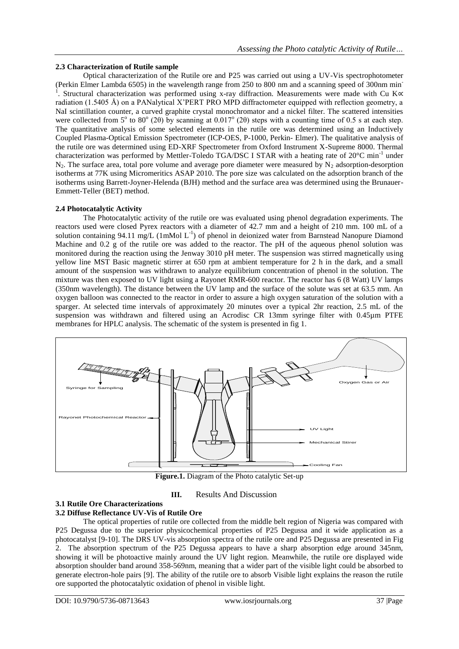## **2.3 Characterization of Rutile sample**

Optical characterization of the Rutile ore and P25 was carried out using a UV-Vis spectrophotometer (Perkin Elmer Lambda 6505) in the wavelength range from 250 to 800 nm and a scanning speed of 300nm min-1 . Structural characterization was performed using x-ray diffraction. Measurements were made with Cu K∝ radiation (1.5405 Å) on a PANalytical X'PERT PRO MPD diffractometer equipped with reflection geometry, a NaI scintillation counter, a curved graphite crystal monochromator and a nickel filter. The scattered intensities were collected from  $5^{\circ}$  to  $80^{\circ}$  (2 $\theta$ ) by scanning at 0.017° (2 $\theta$ ) steps with a counting time of 0.5 s at each step. The quantitative analysis of some selected elements in the rutile ore was determined using an Inductively Coupled Plasma-Optical Emission Spectrometer (ICP-OES, P-1000, Perkin- Elmer). The qualitative analysis of the rutile ore was determined using ED-XRF Spectrometer from Oxford Instrument X-Supreme 8000. Thermal characterization was performed by Mettler-Toledo TGA/DSC I STAR with a heating rate of 20°C min<sup>-1</sup> under  $N_2$ . The surface area, total pore volume and average pore diameter were measured by  $N_2$  adsorption-desorption isotherms at 77K using Micromeritics ASAP 2010. The pore size was calculated on the adsorption branch of the isotherms using Barrett-Joyner-Helenda (BJH) method and the surface area was determined using the Brunauer-Emmett-Teller (BET) method.

## **2.4 Photocatalytic Activity**

The Photocatalytic activity of the rutile ore was evaluated using phenol degradation experiments. The reactors used were closed Pyrex reactors with a diameter of 42.7 mm and a height of 210 mm. 100 mL of a solution containing 94.11 mg/L (1mMol  $L^{-1}$ ) of phenol in deionized water from Barnstead Nanopure Diamond Machine and 0.2 g of the rutile ore was added to the reactor. The pH of the aqueous phenol solution was monitored during the reaction using the Jenway 3010 pH meter. The suspension was stirred magnetically using yellow line MST Basic magnetic stirrer at 650 rpm at ambient temperature for 2 h in the dark, and a small amount of the suspension was withdrawn to analyze equilibrium concentration of phenol in the solution. The mixture was then exposed to UV light using a Rayonet RMR-600 reactor. The reactor has 6 (8 Watt) UV lamps (350nm wavelength). The distance between the UV lamp and the surface of the solute was set at 63.5 mm. An oxygen balloon was connected to the reactor in order to assure a high oxygen saturation of the solution with a sparger. At selected time intervals of approximately 20 minutes over a typical 2hr reaction, 2.5 mL of the suspension was withdrawn and filtered using an Acrodisc CR 13mm syringe filter with 0.45µm PTFE membranes for HPLC analysis. The schematic of the system is presented in fig 1.



Figure.1. Diagram of the Photo catalytic Set-up

## **III.** Results And Discussion

#### **3.1 Rutile Ore Characterizations 3.2 Diffuse Reflectance UV-Vis of Rutile Ore**

### The optical properties of rutile ore collected from the middle belt region of Nigeria was compared with P25 Degussa due to the superior physicochemical properties of P25 Degussa and it wide application as a photocatalyst [9-10]. The DRS UV-vis absorption spectra of the rutile ore and P25 Degussa are presented in Fig 2. The absorption spectrum of the P25 Degussa appears to have a sharp absorption edge around 345nm, showing it will be photoactive mainly around the UV light region. Meanwhile, the rutile ore displayed wide absorption shoulder band around 358-569nm, meaning that a wider part of the visible light could be absorbed to generate electron-hole pairs [9]. The ability of the rutile ore to absorb Visible light explains the reason the rutile ore supported the photocatalytic oxidation of phenol in visible light.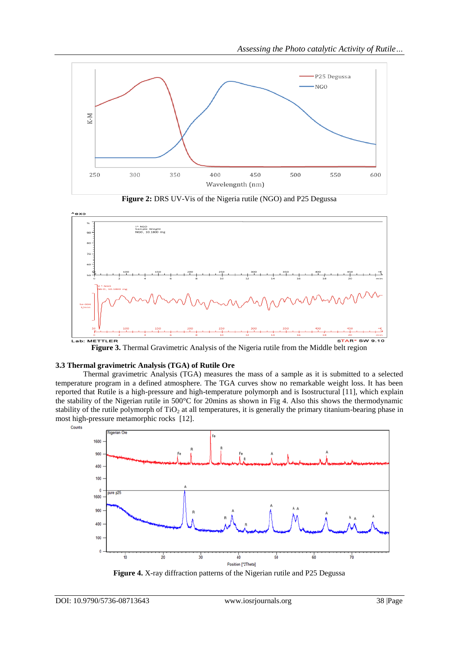





#### **3.3 Thermal gravimetric Analysis (TGA) of Rutile Ore**

Thermal gravimetric Analysis (TGA) measures the mass of a sample as it is submitted to a selected temperature program in a defined atmosphere. The TGA curves show no remarkable weight loss. It has been reported that Rutile is a high-pressure and high-temperature polymorph and is Isostructural [11], which explain the stability of the Nigerian rutile in 500°C for 20mins as shown in Fig 4. Also this shows the thermodynamic stability of the rutile polymorph of  $TiO<sub>2</sub>$  at all temperatures, it is generally the primary titanium-bearing phase in most high-pressure metamorphic rocks [12].



**Figure 4.** X-ray diffraction patterns of the Nigerian rutile and P25 Degussa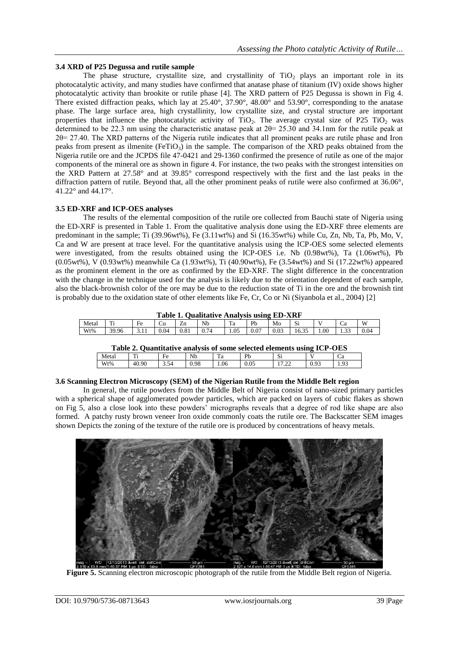## **3.4 XRD of P25 Degussa and rutile sample**

The phase structure, crystallite size, and crystallinity of  $TiO<sub>2</sub>$  plays an important role in its photocatalytic activity, and many studies have confirmed that anatase phase of titanium (IV) oxide shows higher photocatalytic activity than brookite or rutile phase [4]. The XRD pattern of P25 Degussa is shown in Fig 4. There existed diffraction peaks, which lay at 25.40°, 37.90°, 48.00° and 53.90°, corresponding to the anatase phase. The large surface area, high crystallinity, low crystallite size, and crystal structure are important properties that influence the photocatalytic activity of  $TiO<sub>2</sub>$ . The average crystal size of P25 TiO<sub>2</sub> was determined to be 22.3 nm using the characteristic anatase peak at 2θ= 25.30 and 34.1nm for the rutile peak at 2θ= 27.40. The XRD patterns of the Nigeria rutile indicates that all prominent peaks are rutile phase and Iron peaks from present as ilmenite ( $F$ eTiO<sub>3</sub>) in the sample. The comparison of the XRD peaks obtained from the Nigeria rutile ore and the JCPDS file 47-0421 and 29-1360 confirmed the presence of rutile as one of the major components of the mineral ore as shown in figure 4. For instance, the two peaks with the strongest intensities on the XRD Pattern at 27.58° and at 39.85° correspond respectively with the first and the last peaks in the diffraction pattern of rutile. Beyond that, all the other prominent peaks of rutile were also confirmed at 36.06°, 41.22° and 44.17°.

# **3.5 ED-XRF and ICP-OES analyses**

The results of the elemental composition of the rutile ore collected from Bauchi state of Nigeria using the ED-XRF is presented in Table 1. From the qualitative analysis done using the ED-XRF three elements are predominant in the sample; Ti (39.96wt%), Fe (3.11wt%) and Si (16.35wt%) while Cu, Zn, Nb, Ta, Pb, Mo, V, Ca and W are present at trace level. For the quantitative analysis using the ICP-OES some selected elements were investigated, from the results obtained using the ICP-OES i.e. Nb (0.98wt%), Ta (1.06wt%), Pb (0.05wt%), V (0.93wt%) meanwhile Ca (1.93wt%), Ti (40.90wt%), Fe (3.54wt%) and Si (17.22wt%) appeared as the prominent element in the ore as confirmed by the ED-XRF. The slight difference in the concentration with the change in the technique used for the analysis is likely due to the orientation dependent of each sample, also the black-brownish color of the ore may be due to the reduction state of Ti in the ore and the brownish tint is probably due to the oxidation state of other elements like Fe, Cr, Co or Ni (Siyanbola et al., 2004) [2]

|  | Table 1. Qualitative Analysis using ED-XRF |  |  |
|--|--------------------------------------------|--|--|
|  |                                            |  |  |

| Meta. | m<br>. . | ÷<br>Fe | ∪u   | --<br>Zn  | Nb                               | m<br>Тa          | <b>D</b>      | . .<br>Mo                  | $\sim$<br>ړی              |        | Ca                   | W    |
|-------|----------|---------|------|-----------|----------------------------------|------------------|---------------|----------------------------|---------------------------|--------|----------------------|------|
| Wt%   | 39.96    | .       | 0.04 | $_{0.81}$ | $\overline{ }$<br>$\sim$<br>J.74 | $\Omega$<br>1.UJ | $\sim$<br>v.v | $\Omega$<br>$\sim$<br>U.UJ | $\sim$<br>$\sim$<br>16.32 | $00$ . | $\sim$<br>٠<br>ر بين | 0.04 |
|       |          |         |      |           |                                  |                  |               |                            |                           |        |                      |      |

| Table 2. Quantitative analysis of some selected elements using ICP-OES |  |
|------------------------------------------------------------------------|--|
|------------------------------------------------------------------------|--|

| Table 2. Quantitative analysis of some selected elements using TCI -OEO |       |      |      |         |      |             |      |      |
|-------------------------------------------------------------------------|-------|------|------|---------|------|-------------|------|------|
| Metai                                                                   | m     | Fe   | Nb   | m<br>ıа | Dŀ   | $\sim$<br>ນ |      |      |
| Wt%                                                                     | 40.90 | 3.54 | 0.98 | .06     | 0.05 | .           | 0.93 | 1.93 |
|                                                                         |       |      |      |         |      |             |      |      |

## **3.6 Scanning Electron Microscopy (SEM) of the Nigerian Rutile from the Middle Belt region**

In general, the rutile powders from the Middle Belt of Nigeria consist of nano-sized primary particles with a spherical shape of agglomerated powder particles, which are packed on layers of cubic flakes as shown on Fig 5, also a close look into these powders' micrographs reveals that a degree of rod like shape are also formed. A patchy rusty brown veneer Iron oxide commonly coats the rutile ore. The Backscatter SEM images shown Depicts the zoning of the texture of the rutile ore is produced by concentrations of heavy metals.



**Figure 5.** Scanning electron microscopic photograph of the rutile from the Middle Belt region of Nigeria.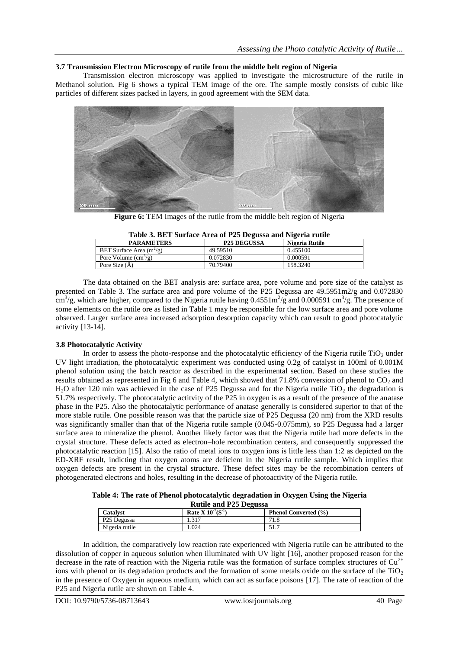## **3.7 Transmission Electron Microscopy of rutile from the middle belt region of Nigeria**

Transmission electron microscopy was applied to investigate the microstructure of the rutile in Methanol solution. Fig 6 shows a typical TEM image of the ore. The sample mostly consists of cubic like particles of different sizes packed in layers, in good agreement with the SEM data.



**Figure 6:** TEM Images of the rutile from the middle belt region of Nigeria

| Table 3. BET Surface Area of P25 Degussa and Nigeria rutile |                    |                |  |  |  |  |  |
|-------------------------------------------------------------|--------------------|----------------|--|--|--|--|--|
| <b>PARAMETERS</b>                                           | <b>P25 DEGUSSA</b> | Nigeria Rutile |  |  |  |  |  |
| BET Surface Area $(m^2/g)$                                  | 49.59510           | 0.455100       |  |  |  |  |  |
| Pore Volume $\text{cm}^3/\text{g}$ )                        | 0.072830           | 0.000591       |  |  |  |  |  |
| Pore Size $(\AA)$                                           | 70.79400           | 158.3240       |  |  |  |  |  |

**Table 3. BET Surface Area of P25 Degussa and Nigeria rutile**

The data obtained on the BET analysis are: surface area, pore volume and pore size of the catalyst as presented on Table 3. The surface area and pore volume of the P25 Degussa are 49.5951m2/g and 0.072830  $\rm cm^3/g$ , which are higher, compared to the Nigeria rutile having 0.4551 $\rm m^2/g$  and 0.000591 cm<sup>3</sup>/g. The presence of some elements on the rutile ore as listed in Table 1 may be responsible for the low surface area and pore volume observed. Larger surface area increased adsorption desorption capacity which can result to good photocatalytic activity [13-14].

## **3.8 Photocatalytic Activity**

In order to assess the photo-response and the photocatalytic efficiency of the Nigeria rutile  $TiO<sub>2</sub>$  under UV light irradiation, the photocatalytic experiment was conducted using 0.2g of catalyst in 100ml of 0.001M phenol solution using the batch reactor as described in the experimental section. Based on these studies the results obtained as represented in Fig 6 and Table 4, which showed that 71.8% conversion of phenol to  $CO<sub>2</sub>$  and  $H<sub>2</sub>O$  after 120 min was achieved in the case of P25 Degussa and for the Nigeria rutile TiO<sub>2</sub> the degradation is 51.7% respectively. The photocatalytic actitvity of the P25 in oxygen is as a result of the presence of the anatase phase in the P25. Also the photocatalytic performance of anatase generally is considered superior to that of the more stable rutile. One possible reason was that the particle size of P25 Degussa (20 nm) from the XRD results was significantly smaller than that of the Nigeria rutile sample (0.045-0.075mm), so P25 Degussa had a larger surface area to mineralize the phenol. Another likely factor was that the Nigeria rutile had more defects in the crystal structure. These defects acted as electron–hole recombination centers, and consequently suppressed the photocatalytic reaction [15]. Also the ratio of metal ions to oxygen ions is little less than 1:2 as depicted on the ED-XRF result, indicting that oxygen atoms are deficient in the Nigeria rutile sample. Which implies that oxygen defects are present in the crystal structure. These defect sites may be the recombination centers of photogenerated electrons and holes, resulting in the decrease of photoactivity of the Nigeria rutile.

**Table 4: The rate of Phenol photocatalytic degradation in Oxygen Using the Nigeria Rutile and P25 Degussa**

| Catalyst                | Rate X $10^{-7}$ (S <sup>-1</sup> ) | <b>Phenol Converted (%)</b> |  |  |  |  |  |  |
|-------------------------|-------------------------------------|-----------------------------|--|--|--|--|--|--|
| P <sub>25</sub> Degussa | 1.317                               | 71.8                        |  |  |  |  |  |  |
| Nigeria rutile          | 1.024                               | 51.7                        |  |  |  |  |  |  |

In addition, the comparatively low reaction rate experienced with Nigeria rutile can be attributed to the dissolution of copper in aqueous solution when illuminated with UV light [16], another proposed reason for the decrease in the rate of reaction with the Nigeria rutile was the formation of surface complex structures of  $Cu^{2+}$ ions with phenol or its degradation products and the formation of some metals oxide on the surface of the  $TiO<sub>2</sub>$ in the presence of Oxygen in aqueous medium, which can act as surface poisons [17]. The rate of reaction of the P25 and Nigeria rutile are shown on Table 4.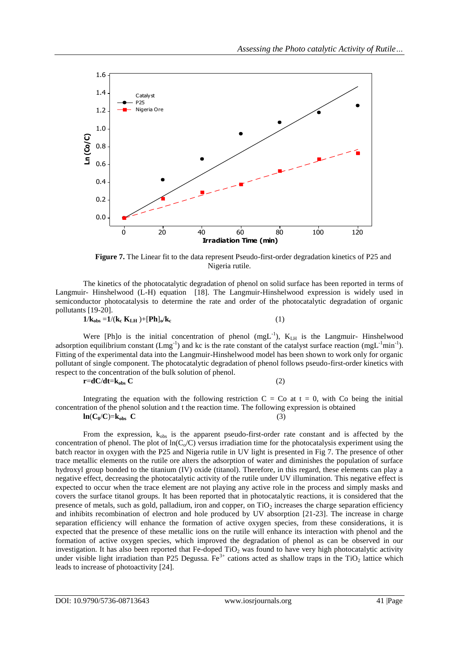

**Figure 7.** The Linear fit to the data represent Pseudo-first-order degradation kinetics of P25 and Nigeria rutile.

The kinetics of the photocatalytic degradation of phenol on solid surface has been reported in terms of Langmuir- Hinshelwood (L-H) equation [18]. The Langmuir-Hinshelwood expression is widely used in semiconductor photocatalysis to determine the rate and order of the photocatalytic degradation of organic pollutants [19-20].

$$
1/k_{obs}\!=\!1/(k_c\;K_{LH}\;)\!\!+\![Ph]_o\!/k_c
$$

 $(1)$ 

Were [Ph]o is the initial concentration of phenol  $(mgL^{-1})$ ,  $K <sub>LH</sub>$  is the Langmuir- Hinshelwood adsorption equilibrium constant  $(Lmg^{-1})$  and kc is the rate constant of the catalyst surface reaction  $(mgL^{-1}min^{-1})$ . Fitting of the experimental data into the Langmuir-Hinshelwood model has been shown to work only for organic pollutant of single component. The photocatalytic degradation of phenol follows pseudo-first-order kinetics with respect to the concentration of the bulk solution of phenol.

 $\mathbf{r} = \mathbf{d}C/\mathbf{d}t = \mathbf{k}_{obs} C$  (2)

Integrating the equation with the following restriction  $C = Co$  at  $t = 0$ , with Co being the initial concentration of the phenol solution and t the reaction time. The following expression is obtained  $\ln(C_0/C)=k_{obs}$  **C** (3)

From the expression,  $k_{obs}$  is the apparent pseudo-first-order rate constant and is affected by the concentration of phenol. The plot of  $ln(C_0/C)$  versus irradiation time for the photocatalysis experiment using the batch reactor in oxygen with the P25 and Nigeria rutile in UV light is presented in Fig 7. The presence of other trace metallic elements on the rutile ore alters the adsorption of water and diminishes the population of surface hydroxyl group bonded to the titanium (IV) oxide (titanol). Therefore, in this regard, these elements can play a negative effect, decreasing the photocatalytic activity of the rutile under UV illumination. This negative effect is expected to occur when the trace element are not playing any active role in the process and simply masks and covers the surface titanol groups. It has been reported that in photocatalytic reactions, it is considered that the presence of metals, such as gold, palladium, iron and copper, on  $TiO<sub>2</sub>$  increases the charge separation efficiency and inhibits recombination of electron and hole produced by UV absorption [21-23]. The increase in charge separation efficiency will enhance the formation of active oxygen species, from these considerations, it is expected that the presence of these metallic ions on the rutile will enhance its interaction with phenol and the formation of active oxygen species, which improved the degradation of phenol as can be observed in our investigation. It has also been reported that Fe-doped  $TiO<sub>2</sub>$  was found to have very high photocatalytic activity under visible light irradiation than P25 Degussa. Fe<sup>3+</sup> cations acted as shallow traps in the TiO<sub>2</sub> lattice which leads to increase of photoactivity [24].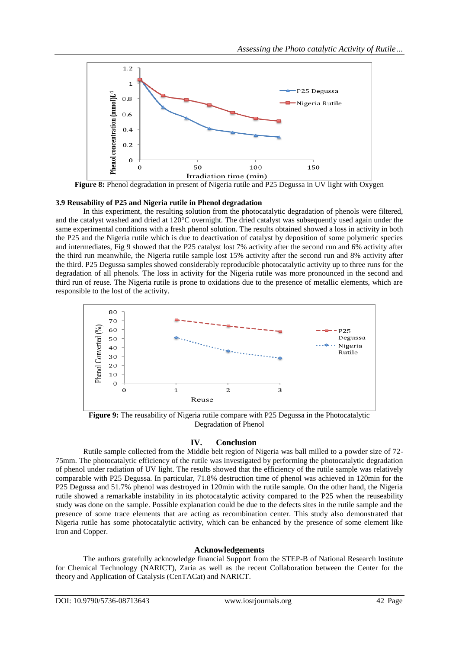

**Figure 8:** Phenol degradation in present of Nigeria rutile and P25 Degussa in UV light with Oxygen

## **3.9 Reusability of P25 and Nigeria rutile in Phenol degradation**

In this experiment, the resulting solution from the photocatalytic degradation of phenols were filtered, and the catalyst washed and dried at 120°C overnight. The dried catalyst was subsequently used again under the same experimental conditions with a fresh phenol solution. The results obtained showed a loss in activity in both the P25 and the Nigeria rutile which is due to deactivation of catalyst by deposition of some polymeric species and intermediates, Fig 9 showed that the P25 catalyst lost 7% activity after the second run and 6% activity after the third run meanwhile, the Nigeria rutile sample lost 15% activity after the second run and 8% activity after the third. P25 Degussa samples showed considerably reproducible photocatalytic activity up to three runs for the degradation of all phenols. The loss in activity for the Nigeria rutile was more pronounced in the second and third run of reuse. The Nigeria rutile is prone to oxidations due to the presence of metallic elements, which are responsible to the lost of the activity.



**Figure 9:** The reusability of Nigeria rutile compare with P25 Degussa in the Photocatalytic Degradation of Phenol

## **IV. Conclusion**

Rutile sample collected from the Middle belt region of Nigeria was ball milled to a powder size of 72- 75mm. The photocatalytic efficiency of the rutile was investigated by performing the photocatalytic degradation of phenol under radiation of UV light. The results showed that the efficiency of the rutile sample was relatively comparable with P25 Degussa. In particular, 71.8% destruction time of phenol was achieved in 120min for the P25 Degussa and 51.7% phenol was destroyed in 120min with the rutile sample. On the other hand, the Nigeria rutile showed a remarkable instability in its photocatalytic activity compared to the P25 when the reuseability study was done on the sample. Possible explanation could be due to the defects sites in the rutile sample and the presence of some trace elements that are acting as recombination center. This study also demonstrated that Nigeria rutile has some photocatalytic activity, which can be enhanced by the presence of some element like Iron and Copper.

## **Acknowledgements**

The authors gratefully acknowledge financial Support from the STEP-B of National Research Institute for Chemical Technology (NARICT), Zaria as well as the recent Collaboration between the Center for the theory and Application of Catalysis (CenTACat) and NARICT.